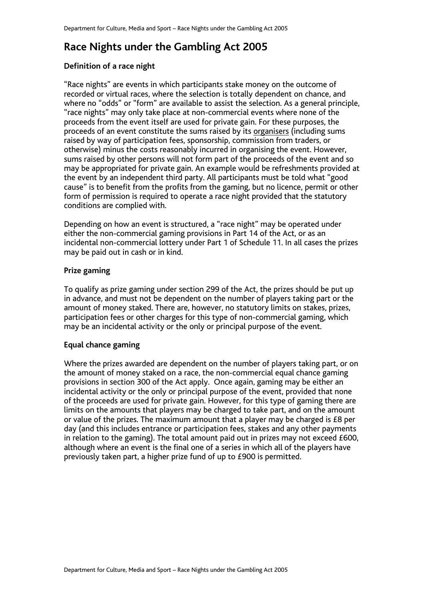# **Race Nights under the Gambling Act 2005**

### **Definition of a race night**

"Race nights" are events in which participants stake money on the outcome of recorded or virtual races, where the selection is totally dependent on chance, and where no "odds" or "form" are available to assist the selection. As a general principle, "race nights" may only take place at non-commercial events where none of the proceeds from the event itself are used for private gain. For these purposes, the proceeds of an event constitute the sums raised by its organisers (including sums raised by way of participation fees, sponsorship, commission from traders, or otherwise) minus the costs reasonably incurred in organising the event. However, sums raised by other persons will not form part of the proceeds of the event and so may be appropriated for private gain. An example would be refreshments provided at the event by an independent third party. All participants must be told what "good cause" is to benefit from the profits from the gaming, but no licence, permit or other form of permission is required to operate a race night provided that the statutory conditions are complied with.

Depending on how an event is structured, a "race night" may be operated under either the non-commercial gaming provisions in Part 14 of the Act, or as an incidental non-commercial lottery under Part 1 of Schedule 11. In all cases the prizes may be paid out in cash or in kind.

## **Prize gaming**

To qualify as prize gaming under section 299 of the Act, the prizes should be put up in advance, and must not be dependent on the number of players taking part or the amount of money staked. There are, however, no statutory limits on stakes, prizes, participation fees or other charges for this type of non-commercial gaming, which may be an incidental activity or the only or principal purpose of the event.

#### **Equal chance gaming**

Where the prizes awarded are dependent on the number of players taking part, or on the amount of money staked on a race, the non-commercial equal chance gaming provisions in section 300 of the Act apply. Once again, gaming may be either an incidental activity or the only or principal purpose of the event, provided that none of the proceeds are used for private gain. However, for this type of gaming there are limits on the amounts that players may be charged to take part, and on the amount or value of the prizes. The maximum amount that a player may be charged is £8 per day (and this includes entrance or participation fees, stakes and any other payments in relation to the gaming). The total amount paid out in prizes may not exceed £600, although where an event is the final one of a series in which all of the players have previously taken part, a higher prize fund of up to £900 is permitted.